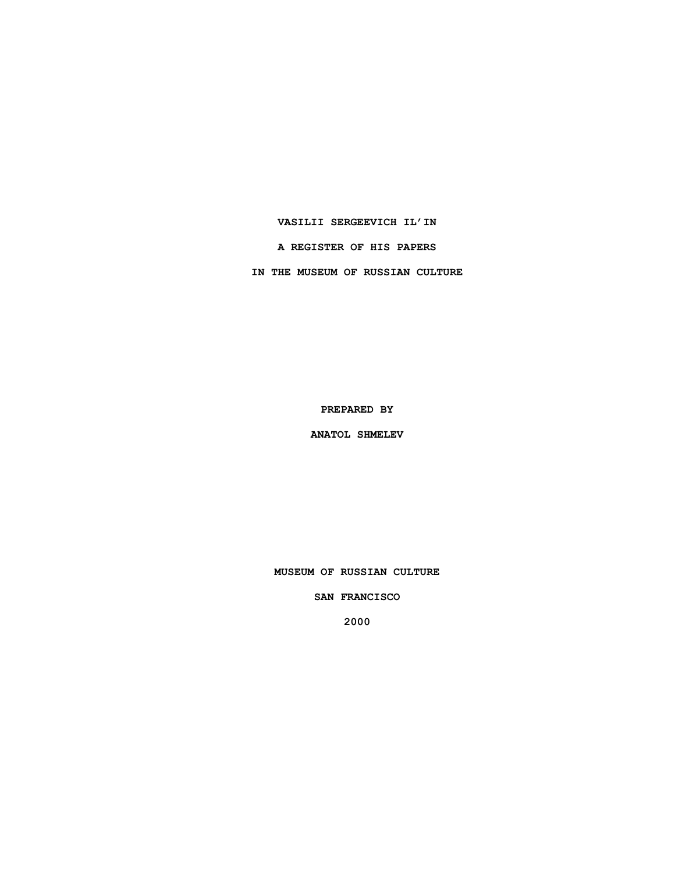**VASILII SERGEEVICH IL'IN**

**A REGISTER OF HIS PAPERS**

**IN THE MUSEUM OF RUSSIAN CULTURE**

**PREPARED BY**

**ANATOL SHMELEV**

**MUSEUM OF RUSSIAN CULTURE**

**SAN FRANCISCO**

**2000**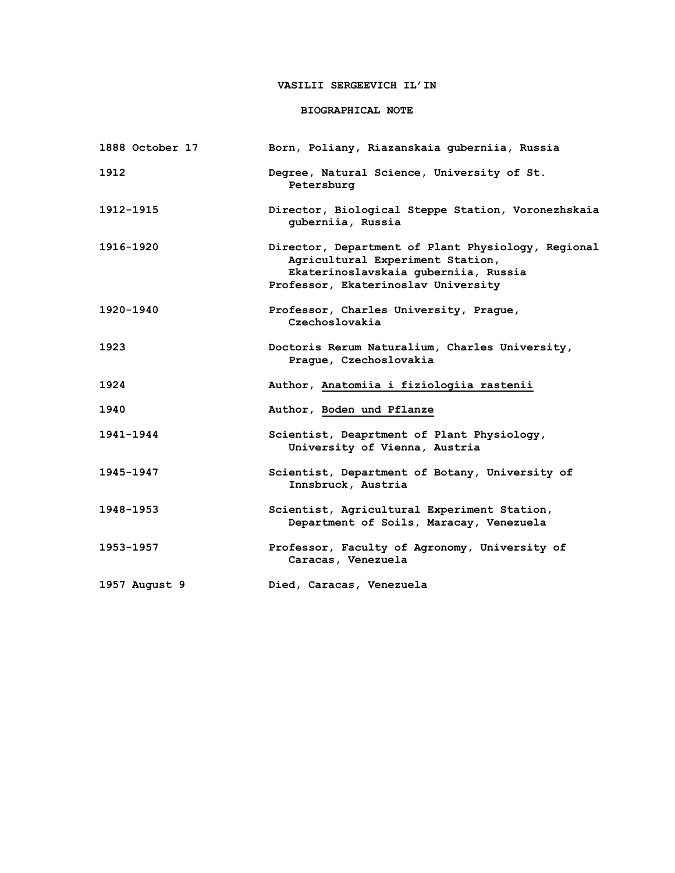# **VASILII SERGEEVICH IL'IN**

## **BIOGRAPHICAL NOTE**

| 1888 October 17 | Born, Poliany, Riazanskaia guberniia, Russia                                                                                                                          |
|-----------------|-----------------------------------------------------------------------------------------------------------------------------------------------------------------------|
| 1912            | Degree, Natural Science, University of St.<br>Petersburg                                                                                                              |
| 1912-1915       | Director, Biological Steppe Station, Voronezhskaia<br>guberniia, Russia                                                                                               |
| 1916-1920       | Director, Department of Plant Physiology, Regional<br>Agricultural Experiment Station,<br>Ekaterinoslavskaia guberniia, Russia<br>Professor, Ekaterinoslav University |
| 1920-1940       | Professor, Charles University, Prague,<br>Czechoslovakia                                                                                                              |
| 1923            | Doctoris Rerum Naturalium, Charles University,<br>Prague, Czechoslovakia                                                                                              |
| 1924            | Author, Anatomiia i fiziologiia rastenii                                                                                                                              |
| 1940            | Author, Boden und Pflanze                                                                                                                                             |
| 1941-1944       | Scientist, Deaprtment of Plant Physiology,<br>University of Vienna, Austria                                                                                           |
| 1945-1947       | Scientist, Department of Botany, University of<br>Innsbruck, Austria                                                                                                  |
| 1948-1953       | Scientist, Agricultural Experiment Station,<br>Department of Soils, Maracay, Venezuela                                                                                |
| 1953-1957       | Professor, Faculty of Agronomy, University of<br>Caracas, Venezuela                                                                                                   |
| 1957 August 9   | Died, Caracas, Venezuela                                                                                                                                              |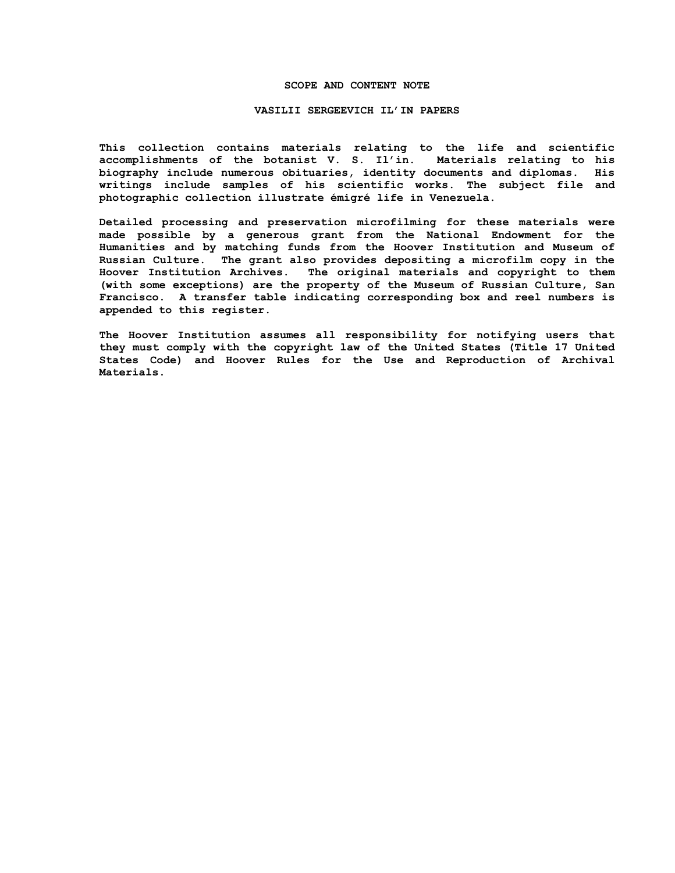### **SCOPE AND CONTENT NOTE**

#### **VASILII SERGEEVICH IL'IN PAPERS**

**This collection contains materials relating to the life and scientific accomplishments of the botanist V. S. Il'in. Materials relating to his biography include numerous obituaries, identity documents and diplomas. His writings include samples of his scientific works. The subject file and photographic collection illustrate émigré life in Venezuela.**

**Detailed processing and preservation microfilming for these materials were made possible by a generous grant from the National Endowment for the Humanities and by matching funds from the Hoover Institution and Museum of Russian Culture. The grant also provides depositing a microfilm copy in the Hoover Institution Archives. The original materials and copyright to them (with some exceptions) are the property of the Museum of Russian Culture, San Francisco. A transfer table indicating corresponding box and reel numbers is appended to this register.**

**The Hoover Institution assumes all responsibility for notifying users that they must comply with the copyright law of the United States (Title 17 United States Code) and Hoover Rules for the Use and Reproduction of Archival Materials.**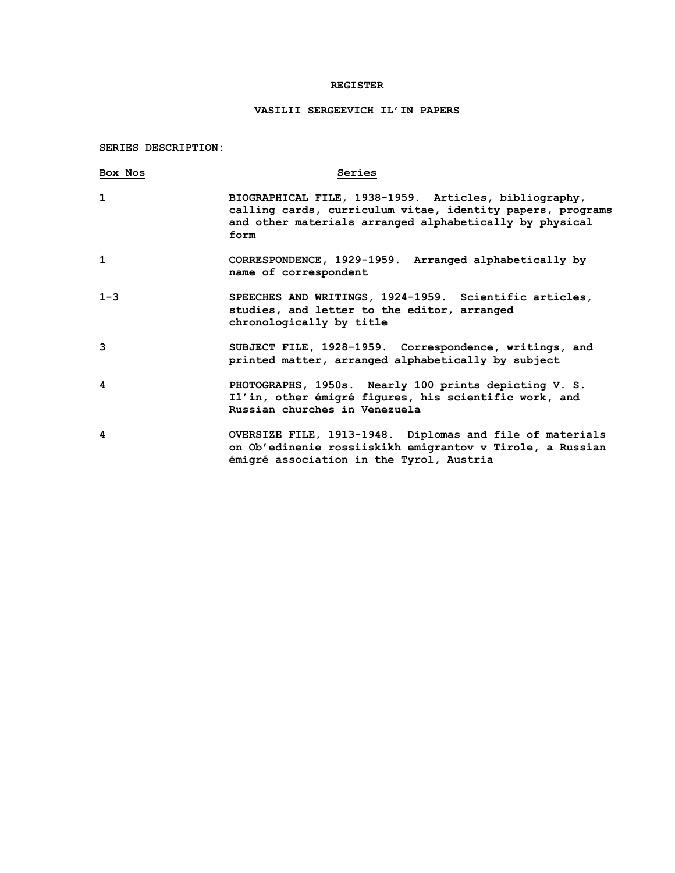## **REGISTER**

# **VASILII SERGEEVICH IL'IN PAPERS**

**SERIES DESCRIPTION:**

| Box Nos      | Series                                                                                                                                                                                 |
|--------------|----------------------------------------------------------------------------------------------------------------------------------------------------------------------------------------|
| 1            | BIOGRAPHICAL FILE, 1938-1959. Articles, bibliography,<br>calling cards, curriculum vitae, identity papers, programs<br>and other materials arranged alphabetically by physical<br>form |
| $\mathbf{1}$ | CORRESPONDENCE, 1929-1959. Arranged alphabetically by<br>name of correspondent                                                                                                         |
| $1 - 3$      | SPEECHES AND WRITINGS, 1924-1959. Scientific articles,<br>studies, and letter to the editor, arranged<br>chronologically by title                                                      |
| 3            | SUBJECT FILE, 1928-1959. Correspondence, writings, and<br>printed matter, arranged alphabetically by subject                                                                           |
| 4            | PHOTOGRAPHS, 1950s. Nearly 100 prints depicting V. S.<br>Il'in, other émigré figures, his scientific work, and<br>Russian churches in Venezuela                                        |
| 4            | OVERSIZE FILE, 1913-1948. Diplomas and file of materials<br>on Ob'edinenie rossiiskikh emigrantov v Tirole, a Russian<br>émigré association in the Tyrol, Austria                      |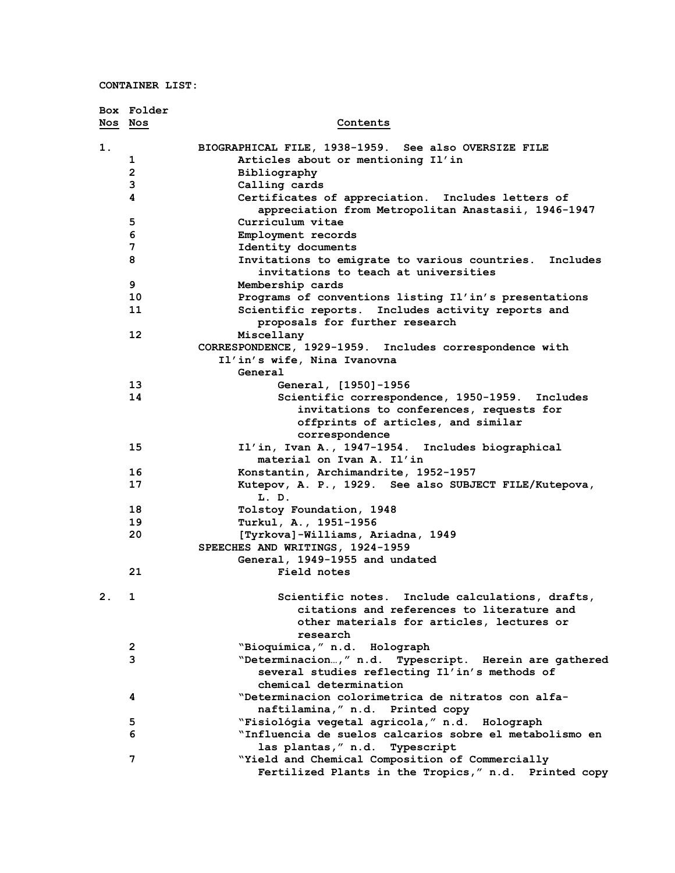**CONTAINER LIST:**

|         | Box Folder              |                                                                                                |
|---------|-------------------------|------------------------------------------------------------------------------------------------|
| Nos Nos |                         | Contents                                                                                       |
| 1.      |                         | BIOGRAPHICAL FILE, 1938-1959. See also OVERSIZE FILE                                           |
|         | 1                       | Articles about or mentioning Il'in                                                             |
|         | $\overline{2}$          | Bibliography                                                                                   |
|         | 3                       | Calling cards                                                                                  |
|         | 4                       | Certificates of appreciation. Includes letters of                                              |
|         |                         | appreciation from Metropolitan Anastasii, 1946-1947                                            |
|         | 5                       | Curriculum vitae                                                                               |
|         | 6                       | Employment records                                                                             |
|         | 7                       | Identity documents                                                                             |
|         | 8                       | Invitations to emigrate to various countries. Includes<br>invitations to teach at universities |
|         | 9                       | Membership cards                                                                               |
|         | 10                      | Programs of conventions listing Il'in's presentations                                          |
|         | 11                      | Scientific reports. Includes activity reports and                                              |
|         |                         | proposals for further research                                                                 |
|         | 12                      | Miscellany                                                                                     |
|         |                         | CORRESPONDENCE, 1929-1959. Includes correspondence with                                        |
|         |                         | Il'in's wife, Nina Ivanovna                                                                    |
|         |                         | General                                                                                        |
|         | 13                      | General, [1950]-1956                                                                           |
|         | 14                      | Scientific correspondence, 1950-1959. Includes                                                 |
|         |                         | invitations to conferences, requests for                                                       |
|         |                         | offprints of articles, and similar                                                             |
|         |                         | correspondence                                                                                 |
|         | 15                      | Il'in, Ivan A., 1947-1954. Includes biographical                                               |
|         |                         | material on Ivan A. Il'in                                                                      |
|         | 16                      | Konstantin, Archimandrite, 1952-1957                                                           |
|         | 17                      | Kutepov, A. P., 1929. See also SUBJECT FILE/Kutepova,<br>L. D.                                 |
|         | 18                      | Tolstoy Foundation, 1948                                                                       |
|         | 19                      | Turkul, A., 1951-1956                                                                          |
|         | 20                      | [Tyrkova]-Williams, Ariadna, 1949                                                              |
|         |                         | SPEECHES AND WRITINGS, 1924-1959                                                               |
|         |                         | General, 1949-1955 and undated                                                                 |
|         | 21                      | Field notes                                                                                    |
| 2.      | $\mathbf 1$             | Scientific notes. Include calculations, drafts,                                                |
|         |                         | citations and references to literature and                                                     |
|         |                         | other materials for articles, lectures or                                                      |
|         |                         | research                                                                                       |
|         | $\overline{\mathbf{c}}$ | "Bioquímica, " n.d. Holograph                                                                  |
|         | 3                       | "Determinacion," n.d. Typescript. Herein are gathered                                          |
|         |                         | several studies reflecting Il'in's methods of<br>chemical determination                        |
|         | 4                       | "Determinacion colorimetrica de nitratos con alfa-                                             |
|         |                         | naftilamina," n.d. Printed copy                                                                |
|         | $5\phantom{.0}$         | "Fisiológia vegetal agricola," n.d. Holograph                                                  |
|         | 6                       | "Influencia de suelos calcarios sobre el metabolismo en                                        |
|         |                         | las plantas," n.d. Typescript                                                                  |
|         | 7                       | "Yield and Chemical Composition of Commercially                                                |
|         |                         | Fertilized Plants in the Tropics," n.d. Printed copy                                           |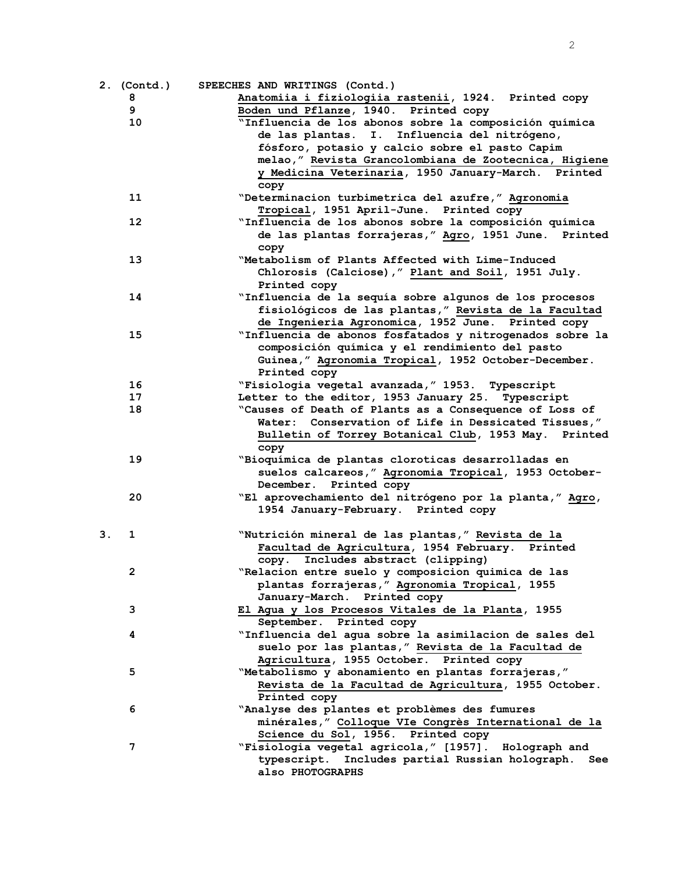|    | 2. (Contd.) | SPEECHES AND WRITINGS (Contd.)                           |
|----|-------------|----------------------------------------------------------|
|    | 8           | Anatomiia i fiziologiia rastenii, 1924. Printed copy     |
|    | 9           | Boden und Pflanze, 1940. Printed copy                    |
|    | 10          | "Influencia de los abonos sobre la composición química   |
|    |             | de las plantas. I. Influencia del nitrógeno,             |
|    |             | fósforo, potasio y calcio sobre el pasto Capim           |
|    |             | melao," Revista Grancolombiana de Zootecnica, Higiene    |
|    |             | y Medicina Veterinaria, 1950 January-March. Printed      |
|    |             | copy                                                     |
|    | 11          | "Determinacion turbimetrica del azufre," Agronomia       |
|    |             | Tropical, 1951 April-June. Printed copy                  |
|    | 12          | "Influencia de los abonos sobre la composición química   |
|    |             | de las plantas forrajeras," Agro, 1951 June. Printed     |
|    |             | copy                                                     |
|    | 13          | "Metabolism of Plants Affected with Lime-Induced         |
|    |             | Chlorosis (Calciose)," Plant and Soil, 1951 July.        |
|    |             | Printed copy                                             |
|    | 14          | "Influencia de la sequía sobre algunos de los procesos   |
|    |             | fisiológicos de las plantas," Revista de la Facultad     |
|    |             | de Ingenieria Agronomica, 1952 June. Printed copy        |
|    | 15          | "Influencia de abonos fosfatados y nitrogenados sobre la |
|    |             | composición química y el rendimiento del pasto           |
|    |             | Guinea, " Agronomia Tropical, 1952 October-December.     |
|    |             | Printed copy                                             |
|    | 16          | "Fisiologia vegetal avanzada, " 1953. Typescript         |
|    | 17          | Letter to the editor, 1953 January 25. Typescript        |
|    | 18          | "Causes of Death of Plants as a Consequence of Loss of   |
|    |             | Water: Conservation of Life in Dessicated Tissues,"      |
|    |             | Bulletin of Torrey Botanical Club, 1953 May. Printed     |
|    |             | copy                                                     |
|    | 19          | "Bioquímica de plantas cloroticas desarrolladas en       |
|    |             | suelos calcareos," Agronomia Tropical, 1953 October-     |
|    |             | December. Printed copy                                   |
|    | 20          | "El aprovechamiento del nitrógeno por la planta," Agro,  |
|    |             | 1954 January-February. Printed copy                      |
|    |             |                                                          |
| З. | 1           | "Nutrición mineral de las plantas," Revista de la        |
|    |             | Facultad de Agricultura, 1954 February. Printed          |
|    |             | copy. Includes abstract (clipping)                       |
|    | 2           | "Relacion entre suelo y composicion quimica de las       |
|    |             | plantas forrajeras," Agronomia Tropical, 1955            |
|    |             | January-March. Printed copy                              |
|    | 3           | El Agua y los Procesos Vitales de la Planta, 1955        |
|    |             | September. Printed copy                                  |
|    | 4           | "Influencia del agua sobre la asimilacion de sales del   |
|    |             | suelo por las plantas," Revista de la Facultad de        |
|    |             | Agricultura, 1955 October. Printed copy                  |
|    | 5           | "Metabolismo y abonamiento en plantas forrajeras,"       |
|    |             | Revista de la Facultad de Agricultura, 1955 October.     |
|    |             | Printed copy                                             |
|    | 6           | "Analyse des plantes et problèmes des fumures            |
|    |             | minérales, " Colloque VIe Congrès International de la    |
|    |             | Science du Sol, 1956. Printed copy                       |
|    | 7           | "Fisiologia vegetal agricola," [1957]. Holograph and     |
|    |             | typescript. Includes partial Russian holograph.<br>See   |
|    |             | also PHOTOGRAPHS                                         |
|    |             |                                                          |